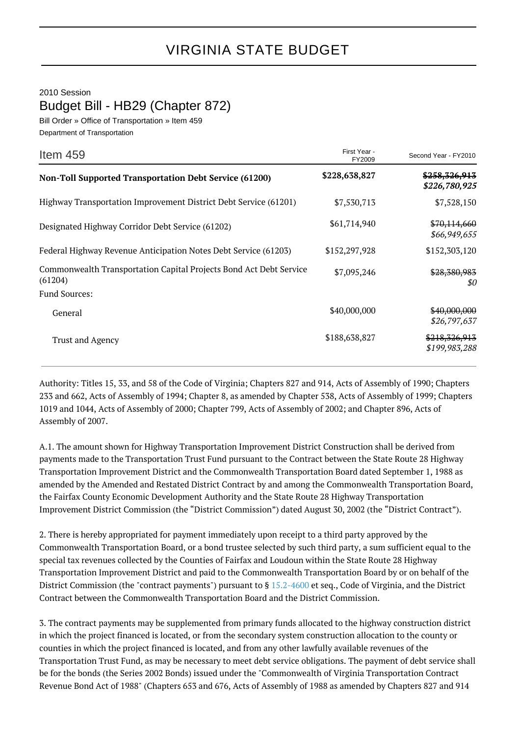2010 Session

Budget Bill - HB29 (Chapter 872)

Bill Order » Office of Transportation » Item 459 Department of Transportation

| Item 459                                                                      | First Year -<br>FY2009 | Second Year - FY2010                      |
|-------------------------------------------------------------------------------|------------------------|-------------------------------------------|
| <b>Non-Toll Supported Transportation Debt Service (61200)</b>                 | \$228,638,827          | <del>\$258,326,913</del><br>\$226,780,925 |
| Highway Transportation Improvement District Debt Service (61201)              | \$7,530,713            | \$7,528,150                               |
| Designated Highway Corridor Debt Service (61202)                              | \$61,714,940           | \$70,114,660<br>\$66,949,655              |
| Federal Highway Revenue Anticipation Notes Debt Service (61203)               | \$152,297,928          | \$152,303,120                             |
| Commonwealth Transportation Capital Projects Bond Act Debt Service<br>(61204) | \$7,095,246            | \$28,380,983<br>\$0                       |
| <b>Fund Sources:</b>                                                          |                        |                                           |
| General                                                                       | \$40,000,000           | \$40,000,000<br>\$26,797,637              |
| <b>Trust and Agency</b>                                                       | \$188,638,827          | \$218,326,913<br>\$199,983,288            |

Authority: Titles 15, 33, and 58 of the Code of Virginia; Chapters 827 and 914, Acts of Assembly of 1990; Chapters 233 and 662, Acts of Assembly of 1994; Chapter 8, as amended by Chapter 538, Acts of Assembly of 1999; Chapters 1019 and 1044, Acts of Assembly of 2000; Chapter 799, Acts of Assembly of 2002; and Chapter 896, Acts of Assembly of 2007.

A.1. The amount shown for Highway Transportation Improvement District Construction shall be derived from payments made to the Transportation Trust Fund pursuant to the Contract between the State Route 28 Highway Transportation Improvement District and the Commonwealth Transportation Board dated September 1, 1988 as amended by the Amended and Restated District Contract by and among the Commonwealth Transportation Board, the Fairfax County Economic Development Authority and the State Route 28 Highway Transportation Improvement District Commission (the "District Commission") dated August 30, 2002 (the "District Contract").

2. There is hereby appropriated for payment immediately upon receipt to a third party approved by the Commonwealth Transportation Board, or a bond trustee selected by such third party, a sum sufficient equal to the special tax revenues collected by the Counties of Fairfax and Loudoun within the State Route 28 Highway Transportation Improvement District and paid to the Commonwealth Transportation Board by or on behalf of the District Commission (the "contract payments") pursuant to § [15.2-4600](http://law.lis.virginia.gov/vacode/15.2-4600/) et seq., Code of Virginia, and the District Contract between the Commonwealth Transportation Board and the District Commission.

3. The contract payments may be supplemented from primary funds allocated to the highway construction district in which the project financed is located, or from the secondary system construction allocation to the county or counties in which the project financed is located, and from any other lawfully available revenues of the Transportation Trust Fund, as may be necessary to meet debt service obligations. The payment of debt service shall be for the bonds (the Series 2002 Bonds) issued under the "Commonwealth of Virginia Transportation Contract Revenue Bond Act of 1988" (Chapters 653 and 676, Acts of Assembly of 1988 as amended by Chapters 827 and 914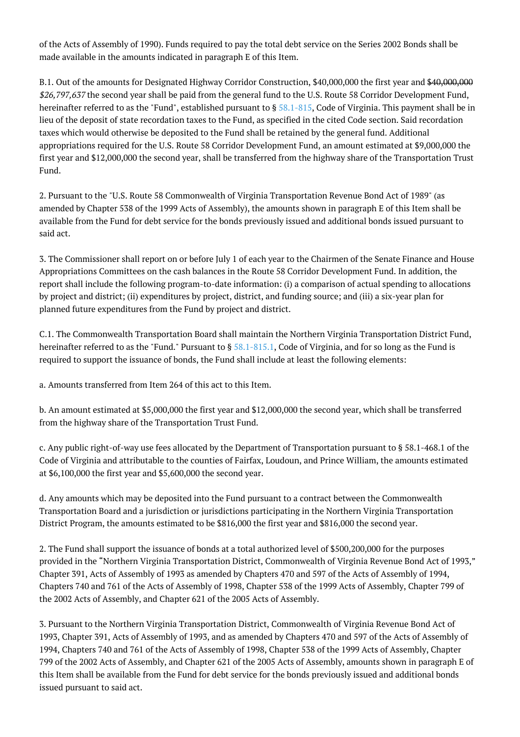of the Acts of Assembly of 1990). Funds required to pay the total debt service on the Series 2002 Bonds shall be made available in the amounts indicated in paragraph E of this Item.

B.1. Out of the amounts for Designated Highway Corridor Construction, \$40,000,000 the first year and \$40,000,000 \$26,797,637 the second year shall be paid from the general fund to the U.S. Route 58 Corridor Development Fund, hereinafter referred to as the "Fund", established pursuant to § [58.1-815,](http://law.lis.virginia.gov/vacode/58.1-815/) Code of Virginia. This payment shall be in lieu of the deposit of state recordation taxes to the Fund, as specified in the cited Code section. Said recordation taxes which would otherwise be deposited to the Fund shall be retained by the general fund. Additional appropriations required for the U.S. Route 58 Corridor Development Fund, an amount estimated at \$9,000,000 the first year and \$12,000,000 the second year, shall be transferred from the highway share of the Transportation Trust Fund.

2. Pursuant to the "U.S. Route 58 Commonwealth of Virginia Transportation Revenue Bond Act of 1989" (as amended by Chapter 538 of the 1999 Acts of Assembly), the amounts shown in paragraph E of this Item shall be available from the Fund for debt service for the bonds previously issued and additional bonds issued pursuant to said act.

3. The Commissioner shall report on or before July 1 of each year to the Chairmen of the Senate Finance and House Appropriations Committees on the cash balances in the Route 58 Corridor Development Fund. In addition, the report shall include the following program-to-date information: (i) a comparison of actual spending to allocations by project and district; (ii) expenditures by project, district, and funding source; and (iii) a six-year plan for planned future expenditures from the Fund by project and district.

C.1. The Commonwealth Transportation Board shall maintain the Northern Virginia Transportation District Fund, hereinafter referred to as the "Fund." Pursuant to § [58.1-815.1,](http://law.lis.virginia.gov/vacode/58.1-815.1/) Code of Virginia, and for so long as the Fund is required to support the issuance of bonds, the Fund shall include at least the following elements:

a. Amounts transferred from Item 264 of this act to this Item.

b. An amount estimated at \$5,000,000 the first year and \$12,000,000 the second year, which shall be transferred from the highway share of the Transportation Trust Fund.

c. Any public right-of-way use fees allocated by the Department of Transportation pursuant to § 58.1-468.1 of the Code of Virginia and attributable to the counties of Fairfax, Loudoun, and Prince William, the amounts estimated at \$6,100,000 the first year and \$5,600,000 the second year.

d. Any amounts which may be deposited into the Fund pursuant to a contract between the Commonwealth Transportation Board and a jurisdiction or jurisdictions participating in the Northern Virginia Transportation District Program, the amounts estimated to be \$816,000 the first year and \$816,000 the second year.

2. The Fund shall support the issuance of bonds at a total authorized level of \$500,200,000 for the purposes provided in the "Northern Virginia Transportation District, Commonwealth of Virginia Revenue Bond Act of 1993," Chapter 391, Acts of Assembly of 1993 as amended by Chapters 470 and 597 of the Acts of Assembly of 1994, Chapters 740 and 761 of the Acts of Assembly of 1998, Chapter 538 of the 1999 Acts of Assembly, Chapter 799 of the 2002 Acts of Assembly, and Chapter 621 of the 2005 Acts of Assembly.

3. Pursuant to the Northern Virginia Transportation District, Commonwealth of Virginia Revenue Bond Act of 1993, Chapter 391, Acts of Assembly of 1993, and as amended by Chapters 470 and 597 of the Acts of Assembly of 1994, Chapters 740 and 761 of the Acts of Assembly of 1998, Chapter 538 of the 1999 Acts of Assembly, Chapter 799 of the 2002 Acts of Assembly, and Chapter 621 of the 2005 Acts of Assembly, amounts shown in paragraph E of this Item shall be available from the Fund for debt service for the bonds previously issued and additional bonds issued pursuant to said act.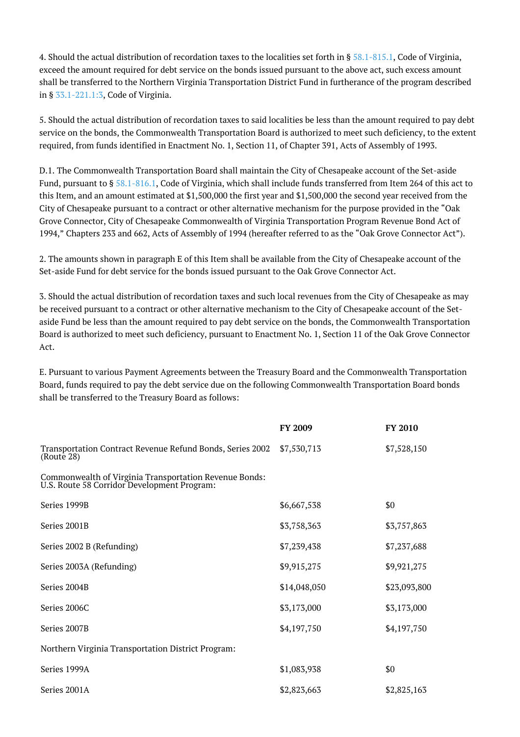4. Should the actual distribution of recordation taxes to the localities set forth in § [58.1-815.1,](http://law.lis.virginia.gov/vacode/58.1-815.1/) Code of Virginia, exceed the amount required for debt service on the bonds issued pursuant to the above act, such excess amount shall be transferred to the Northern Virginia Transportation District Fund in furtherance of the program described in § [33.1-221.1:3,](http://law.lis.virginia.gov/vacode/33.1-221.1:3/) Code of Virginia.

5. Should the actual distribution of recordation taxes to said localities be less than the amount required to pay debt service on the bonds, the Commonwealth Transportation Board is authorized to meet such deficiency, to the extent required, from funds identified in Enactment No. 1, Section 11, of Chapter 391, Acts of Assembly of 1993.

D.1. The Commonwealth Transportation Board shall maintain the City of Chesapeake account of the Set-aside Fund, pursuant to § [58.1-816.1](http://law.lis.virginia.gov/vacode/58.1-816.1/), Code of Virginia, which shall include funds transferred from Item 264 of this act to this Item, and an amount estimated at \$1,500,000 the first year and \$1,500,000 the second year received from the City of Chesapeake pursuant to a contract or other alternative mechanism for the purpose provided in the "Oak Grove Connector, City of Chesapeake Commonwealth of Virginia Transportation Program Revenue Bond Act of 1994," Chapters 233 and 662, Acts of Assembly of 1994 (hereafter referred to as the "Oak Grove Connector Act").

2. The amounts shown in paragraph E of this Item shall be available from the City of Chesapeake account of the Set-aside Fund for debt service for the bonds issued pursuant to the Oak Grove Connector Act.

3. Should the actual distribution of recordation taxes and such local revenues from the City of Chesapeake as may be received pursuant to a contract or other alternative mechanism to the City of Chesapeake account of the Setaside Fund be less than the amount required to pay debt service on the bonds, the Commonwealth Transportation Board is authorized to meet such deficiency, pursuant to Enactment No. 1, Section 11 of the Oak Grove Connector Act.

E. Pursuant to various Payment Agreements between the Treasury Board and the Commonwealth Transportation Board, funds required to pay the debt service due on the following Commonwealth Transportation Board bonds shall be transferred to the Treasury Board as follows:

|                                                                                                       | <b>FY 2009</b> | <b>FY 2010</b> |
|-------------------------------------------------------------------------------------------------------|----------------|----------------|
| Transportation Contract Revenue Refund Bonds, Series 2002<br>(Route 28)                               | \$7,530,713    | \$7,528,150    |
| Commonwealth of Virginia Transportation Revenue Bonds:<br>U.S. Route 58 Corridor Development Program: |                |                |
| Series 1999B                                                                                          | \$6,667,538    | \$0            |
| Series 2001B                                                                                          | \$3,758,363    | \$3,757,863    |
| Series 2002 B (Refunding)                                                                             | \$7,239,438    | \$7,237,688    |
| Series 2003A (Refunding)                                                                              | \$9,915,275    | \$9,921,275    |
| Series 2004B                                                                                          | \$14,048,050   | \$23,093,800   |
| Series 2006C                                                                                          | \$3,173,000    | \$3,173,000    |
| Series 2007B                                                                                          | \$4,197,750    | \$4,197,750    |
| Northern Virginia Transportation District Program:                                                    |                |                |
| Series 1999A                                                                                          | \$1,083,938    | \$0            |
| Series 2001A                                                                                          | \$2,823,663    | \$2,825,163    |